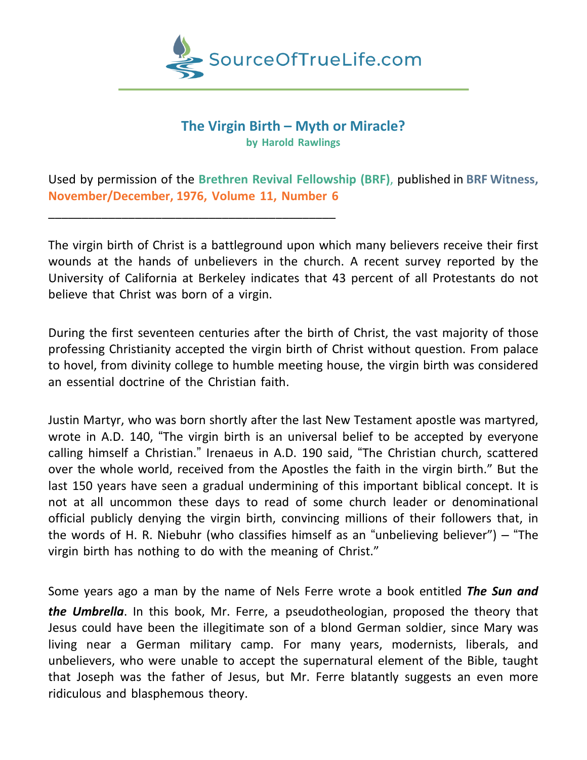

## **The Virgin Birth – Myth or Miracle? by Harold Rawlings**

Used by permission of the **Brethren Revival Fellowship (BRF)**, published in **BRF Witness, November/December, 1976, Volume 11, Number 6**

\_\_\_\_\_\_\_\_\_\_\_\_\_\_\_\_\_\_\_\_\_\_\_\_\_\_\_\_\_\_\_\_\_\_\_\_\_\_\_\_\_\_\_

The virgin birth of Christ is a battleground upon which many believers receive their first wounds at the hands of unbelievers in the church. A recent survey reported by the University of California at Berkeley indicates that 43 percent of all Protestants do not believe that Christ was born of a virgin.

During the first seventeen centuries after the birth of Christ, the vast majority of those professing Christianity accepted the virgin birth of Christ without question. From palace to hovel, from divinity college to humble meeting house, the virgin birth was considered an essential doctrine of the Christian faith.

Justin Martyr, who was born shortly after the last New Testament apostle was martyred, wrote in A.D. 140, "The virgin birth is an universal belief to be accepted by everyone calling himself a Christian." Irenaeus in A.D. 190 said, "The Christian church, scattered over the whole world, received from the Apostles the faith in the virgin birth." But the last 150 years have seen a gradual undermining of this important biblical concept. It is not at all uncommon these days to read of some church leader or denominational official publicly denying the virgin birth, convincing millions of their followers that, in the words of H. R. Niebuhr (who classifies himself as an "unbelieving believer") – "The virgin birth has nothing to do with the meaning of Christ."

Some years ago a man by the name of Nels Ferre wrote a book entitled *The Sun and the Umbrella*. In this book, Mr. Ferre, a pseudotheologian, proposed the theory that Jesus could have been the illegitimate son of a blond German soldier, since Mary was living near a German military camp. For many years, modernists, liberals, and unbelievers, who were unable to accept the supernatural element of the Bible, taught that Joseph was the father of Jesus, but Mr. Ferre blatantly suggests an even more ridiculous and blasphemous theory.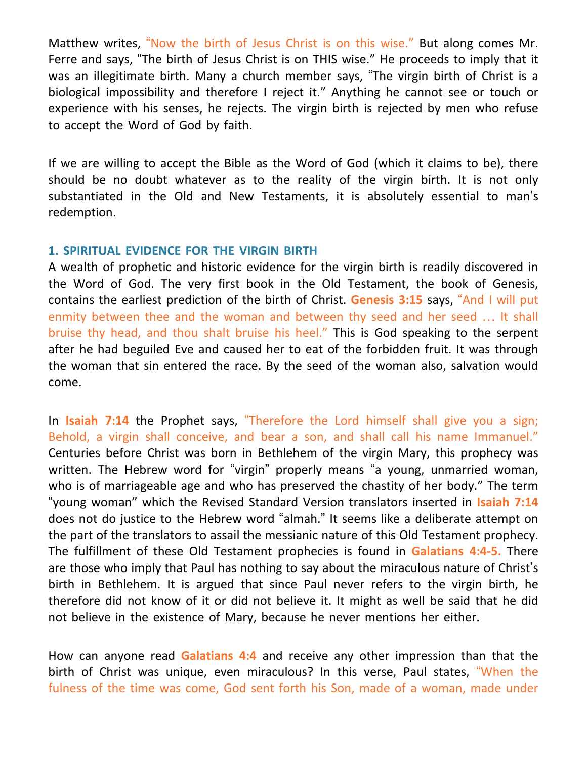Matthew writes, "Now the birth of Jesus Christ is on this wise." But along comes Mr. Ferre and says, "The birth of Jesus Christ is on THIS wise." He proceeds to imply that it was an illegitimate birth. Many a church member says, "The virgin birth of Christ is a biological impossibility and therefore I reject it." Anything he cannot see or touch or experience with his senses, he rejects. The virgin birth is rejected by men who refuse to accept the Word of God by faith.

If we are willing to accept the Bible as the Word of God (which it claims to be), there should be no doubt whatever as to the reality of the virgin birth. It is not only substantiated in the Old and New Testaments, it is absolutely essential to man's redemption.

## **1. SPIRITUAL EVIDENCE FOR THE VIRGIN BIRTH**

A wealth of prophetic and historic evidence for the virgin birth is readily discovered in the Word of God. The very first book in the Old Testament, the book of Genesis, contains the earliest prediction of the birth of Christ. **Genesis 3:15** says, "And I will put enmity between thee and the woman and between thy seed and her seed … It shall bruise thy head, and thou shalt bruise his heel." This is God speaking to the serpent after he had beguiled Eve and caused her to eat of the forbidden fruit. It was through the woman that sin entered the race. By the seed of the woman also, salvation would come.

In **Isaiah 7:14** the Prophet says, "Therefore the Lord himself shall give you a sign; Behold, a virgin shall conceive, and bear a son, and shall call his name Immanuel." Centuries before Christ was born in Bethlehem of the virgin Mary, this prophecy was written. The Hebrew word for "virgin" properly means "a young, unmarried woman, who is of marriageable age and who has preserved the chastity of her body." The term "young woman" which the Revised Standard Version translators inserted in **Isaiah 7:14** does not do justice to the Hebrew word "almah." It seems like a deliberate attempt on the part of the translators to assail the messianic nature of this Old Testament prophecy. The fulfillment of these Old Testament prophecies is found in **Galatians 4:4-5.** There are those who imply that Paul has nothing to say about the miraculous nature of Christ's birth in Bethlehem. It is argued that since Paul never refers to the virgin birth, he therefore did not know of it or did not believe it. It might as well be said that he did not believe in the existence of Mary, because he never mentions her either.

How can anyone read **Galatians 4:4** and receive any other impression than that the birth of Christ was unique, even miraculous? In this verse, Paul states, "When the fulness of the time was come, God sent forth his Son, made of a woman, made under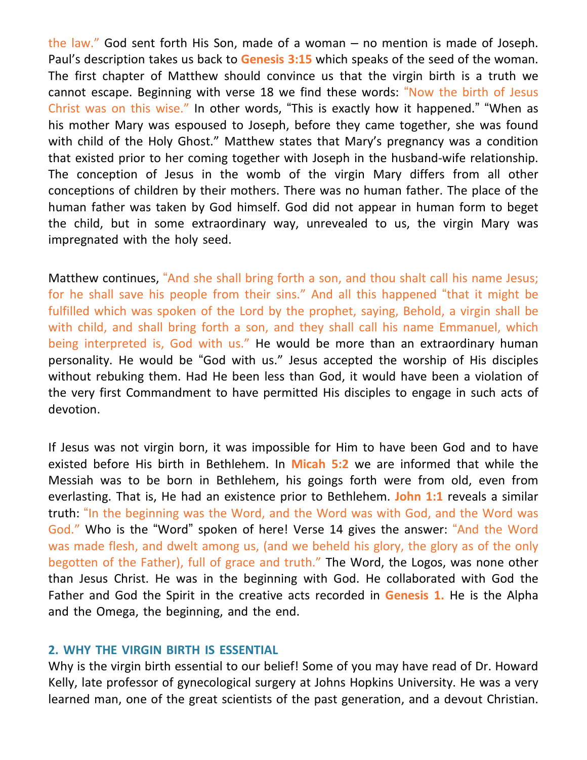the law." God sent forth His Son, made of a woman – no mention is made of Joseph. Paul's description takes us back to **Genesis 3:15** which speaks of the seed of the woman. The first chapter of Matthew should convince us that the virgin birth is a truth we cannot escape. Beginning with verse 18 we find these words: "Now the birth of Jesus Christ was on this wise." In other words, "This is exactly how it happened." "When as his mother Mary was espoused to Joseph, before they came together, she was found with child of the Holy Ghost." Matthew states that Mary's pregnancy was a condition that existed prior to her coming together with Joseph in the husband-wife relationship. The conception of Jesus in the womb of the virgin Mary differs from all other conceptions of children by their mothers. There was no human father. The place of the human father was taken by God himself. God did not appear in human form to beget the child, but in some extraordinary way, unrevealed to us, the virgin Mary was impregnated with the holy seed.

Matthew continues, "And she shall bring forth a son, and thou shalt call his name Jesus; for he shall save his people from their sins." And all this happened "that it might be fulfilled which was spoken of the Lord by the prophet, saying, Behold, a virgin shall be with child, and shall bring forth a son, and they shall call his name Emmanuel, which being interpreted is, God with us." He would be more than an extraordinary human personality. He would be "God with us." Jesus accepted the worship of His disciples without rebuking them. Had He been less than God, it would have been a violation of the very first Commandment to have permitted His disciples to engage in such acts of devotion.

If Jesus was not virgin born, it was impossible for Him to have been God and to have existed before His birth in Bethlehem. In **Micah 5:2** we are informed that while the Messiah was to be born in Bethlehem, his goings forth were from old, even from everlasting. That is, He had an existence prior to Bethlehem. **John 1:1** reveals a similar truth: "In the beginning was the Word, and the Word was with God, and the Word was God." Who is the "Word" spoken of here! Verse 14 gives the answer: "And the Word was made flesh, and dwelt among us, (and we beheld his glory, the glory as of the only begotten of the Father), full of grace and truth." The Word, the Logos, was none other than Jesus Christ. He was in the beginning with God. He collaborated with God the Father and God the Spirit in the creative acts recorded in **Genesis 1.** He is the Alpha and the Omega, the beginning, and the end.

## **2. WHY THE VIRGIN BIRTH IS ESSENTIAL**

Why is the virgin birth essential to our belief! Some of you may have read of Dr. Howard Kelly, late professor of gynecological surgery at Johns Hopkins University. He was a very learned man, one of the great scientists of the past generation, and a devout Christian.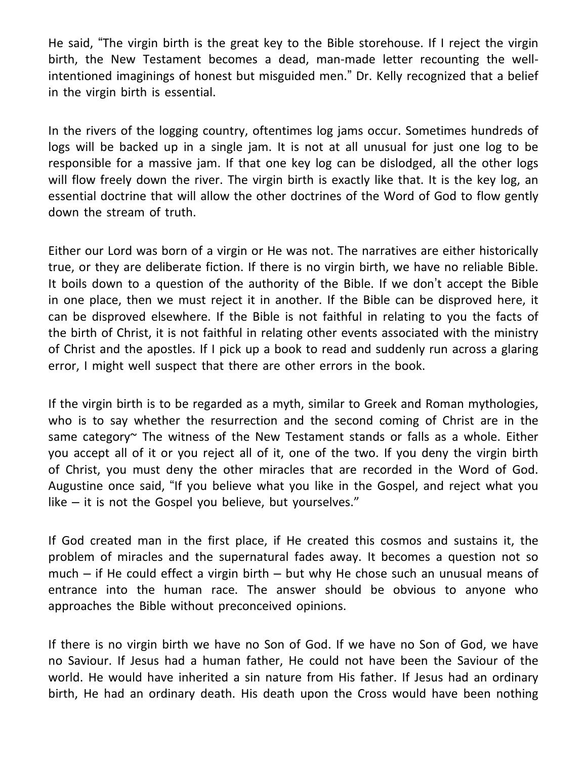He said, "The virgin birth is the great key to the Bible storehouse. If I reject the virgin birth, the New Testament becomes a dead, man-made letter recounting the wellintentioned imaginings of honest but misguided men." Dr. Kelly recognized that a belief in the virgin birth is essential.

In the rivers of the logging country, oftentimes log jams occur. Sometimes hundreds of logs will be backed up in a single jam. It is not at all unusual for just one log to be responsible for a massive jam. If that one key log can be dislodged, all the other logs will flow freely down the river. The virgin birth is exactly like that. It is the key log, an essential doctrine that will allow the other doctrines of the Word of God to flow gently down the stream of truth.

Either our Lord was born of a virgin or He was not. The narratives are either historically true, or they are deliberate fiction. If there is no virgin birth, we have no reliable Bible. It boils down to a question of the authority of the Bible. If we don't accept the Bible in one place, then we must reject it in another. If the Bible can be disproved here, it can be disproved elsewhere. If the Bible is not faithful in relating to you the facts of the birth of Christ, it is not faithful in relating other events associated with the ministry of Christ and the apostles. If I pick up a book to read and suddenly run across a glaring error, I might well suspect that there are other errors in the book.

If the virgin birth is to be regarded as a myth, similar to Greek and Roman mythologies, who is to say whether the resurrection and the second coming of Christ are in the same category~ The witness of the New Testament stands or falls as a whole. Either you accept all of it or you reject all of it, one of the two. If you deny the virgin birth of Christ, you must deny the other miracles that are recorded in the Word of God. Augustine once said, "If you believe what you like in the Gospel, and reject what you like – it is not the Gospel you believe, but yourselves."

If God created man in the first place, if He created this cosmos and sustains it, the problem of miracles and the supernatural fades away. It becomes a question not so much – if He could effect a virgin birth – but why He chose such an unusual means of entrance into the human race. The answer should be obvious to anyone who approaches the Bible without preconceived opinions.

If there is no virgin birth we have no Son of God. If we have no Son of God, we have no Saviour. If Jesus had a human father, He could not have been the Saviour of the world. He would have inherited a sin nature from His father. If Jesus had an ordinary birth, He had an ordinary death. His death upon the Cross would have been nothing